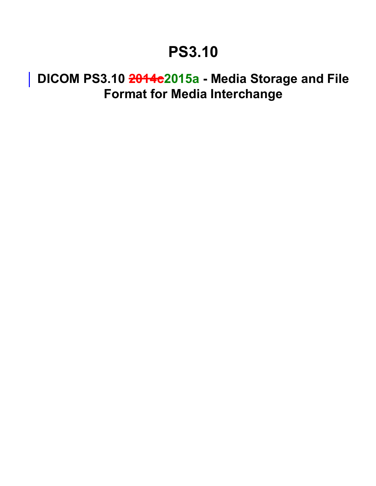## **PS3.10**

## **DICOM PS3.10 2014c2015a - Media Storage and File Format for Media Interchange**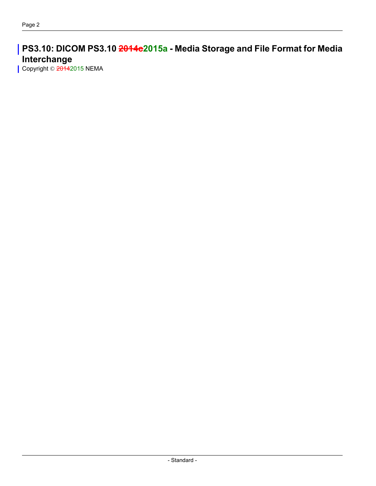**PS3.10: DICOM PS3.10 2014c2015a - Media Storage and File Format for Media Interchange**

Copyright © 20142015 NEMA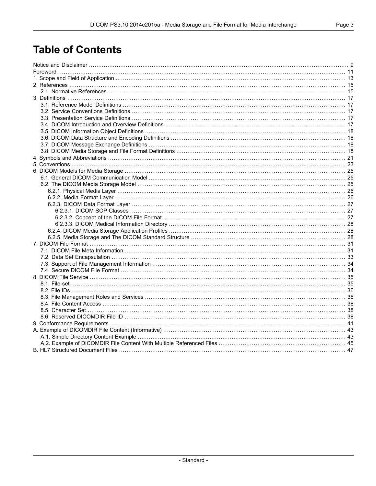## **Table of Contents**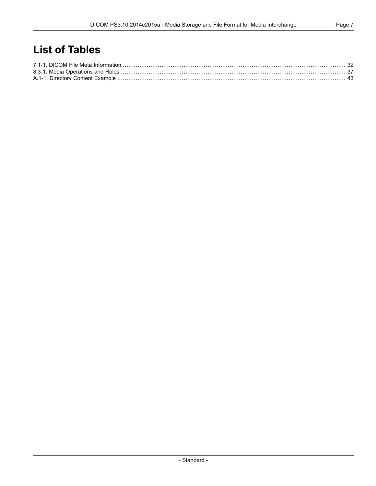## **List of Tables**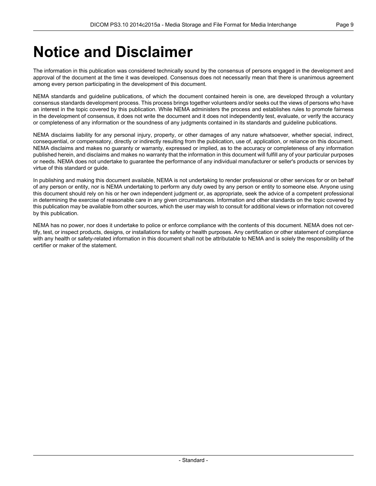## <span id="page-8-0"></span>**Notice and Disclaimer**

The information in this publication was considered technically sound by the consensus of persons engaged in the development and approval of the document at the time it was developed. Consensus does not necessarily mean that there is unanimous agreement among every person participating in the development of this document.

NEMA standards and guideline publications, of which the document contained herein is one, are developed through a voluntary consensus standards development process. This process brings together volunteers and/or seeks out the views of persons who have an interest in the topic covered by this publication. While NEMA administers the process and establishes rules to promote fairness in the development of consensus, it does not write the document and it does not independently test, evaluate, or verify the accuracy or completeness of any information or the soundness of any judgments contained in its standards and guideline publications.

NEMA disclaims liability for any personal injury, property, or other damages of any nature whatsoever, whether special, indirect, consequential, or compensatory, directly or indirectly resulting from the publication, use of, application, or reliance on this document. NEMA disclaims and makes no guaranty or warranty, expressed or implied, as to the accuracy or completeness of any information published herein, and disclaims and makes no warranty that the information in this document will fulfill any of your particular purposes or needs. NEMA does not undertake to guarantee the performance of any individual manufacturer or seller's products or services by virtue of this standard or guide.

In publishing and making this document available, NEMA is not undertaking to render professional or other services for or on behalf of any person or entity, nor is NEMA undertaking to perform any duty owed by any person or entity to someone else. Anyone using this document should rely on his or her own independent judgment or, as appropriate, seek the advice of a competent professional in determining the exercise of reasonable care in any given circumstances. Information and other standards on the topic covered by this publication may be available from other sources, which the user may wish to consult for additional views or information not covered by this publication.

NEMA has no power, nor does it undertake to police or enforce compliance with the contents of this document. NEMA does not certify, test, or inspect products, designs, or installations for safety or health purposes. Any certification or other statement of compliance with any health or safety-related information in this document shall not be attributable to NEMA and is solely the responsibility of the certifier or maker of the statement.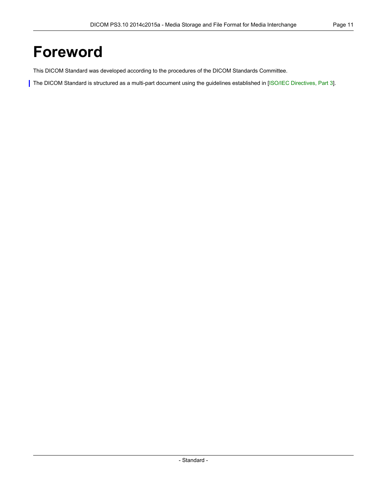## <span id="page-10-0"></span>**Foreword**

This DICOM Standard was developed according to the procedures of the DICOM Standards Committee.

The DICOM Standard is structured as a multi-part document using the guidelines established in [ISO/IEC [Directives,](#page-14-2) Part 3].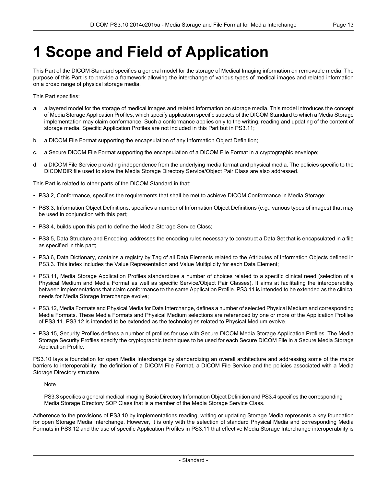## <span id="page-12-0"></span>**1 Scope and Field of Application**

This Part of the DICOM Standard specifies a general model for the storage of Medical Imaging information on removable media. The purpose of this Part is to provide a framework allowing the interchange of various types of medical images and related information on a broad range of physical storage media.

This Part specifies:

- a. a layered model for the storage of medical images and related information on storage media. This model introduces the concept of Media Storage Application Profiles, which specify application specific subsets of the DICOM Standard to which a Media Storage implementation may claim conformance. Such a conformance applies only to the writing, reading and updating of the content of storage media. Specific Application Profiles are not included in this Part but in [PS3.11](part11.pdf#PS3.11);
- b. a DICOM File Format supporting the encapsulation of any Information Object Definition;
- c. a Secure DICOM File Format supporting the encapsulation of a DICOM File Format in a cryptographic envelope;
- d. a DICOM File Service providing independence from the underlying media format and physical media. The policies specific to the DICOMDIR file used to store the Media Storage Directory Service/Object Pair Class are also addressed.

This Part is related to other parts of the DICOM Standard in that:

- [PS3.2](part02.pdf#PS3.2), Conformance, specifies the requirements that shall be met to achieve DICOM Conformance in Media Storage;
- [PS3.3](part03.pdf#PS3.3), Information Object Definitions, specifies a number of Information Object Definitions (e.g., various types of images) that may be used in conjunction with this part;
- [PS3.4](part04.pdf#PS3.4), builds upon this part to define the Media Storage Service Class;
- [PS3.5](part05.pdf#PS3.5), Data Structure and Encoding, addresses the encoding rules necessary to construct a Data Set that is encapsulated in a file as specified in this part;
- [PS3.6](part06.pdf#PS3.6), Data Dictionary, contains a registry by Tag of all Data Elements related to the Attributes of Information Objects defined in [PS3.3](part03.pdf#PS3.3). This index includes the Value Representation and Value Multiplicity for each Data Element;
- [PS3.11](part11.pdf#PS3.11), Media Storage Application Profiles standardizes a number of choices related to a specific clinical need (selection of a Physical Medium and Media Format as well as specific Service/Object Pair Classes). It aims at facilitating the interoperability between implementations that claim conformance to the same Application Profile. [PS3.11](part11.pdf#PS3.11) is intended to be extended as the clinical needs for Media Storage Interchange evolve;
- [PS3.12](part12.pdf#PS3.12), Media Formats and Physical Media for Data Interchange, defines a number of selected Physical Medium and corresponding Media Formats. These Media Formats and Physical Medium selections are referenced by one or more of the Application Profiles of [PS3.11](part11.pdf#PS3.11). [PS3.12](part12.pdf#PS3.12) is intended to be extended as the technologies related to Physical Medium evolve.
- [PS3.15](part15.pdf#PS3.15), Security Profiles defines a number of profiles for use with Secure DICOM Media Storage Application Profiles. The Media Storage Security Profiles specify the cryptographic techniques to be used for each Secure DICOM File in a Secure Media Storage Application Profile.

PS3.10 lays a foundation for open Media Interchange by standardizing an overall architecture and addressing some of the major barriers to interoperability: the definition of a DICOM File Format, a DICOM File Service and the policies associated with a Media Storage Directory structure.

Note

[PS3.3](part03.pdf#PS3.3) specifies a general medical imaging Basic Directory Information Object Definition and [PS3.4](part04.pdf#PS3.4) specifies the corresponding Media Storage Directory SOP Class that is a member of the Media Storage Service Class.

Adherence to the provisions of PS3.10 by implementations reading, writing or updating Storage Media represents a key foundation for open Storage Media Interchange. However, it is only with the selection of standard Physical Media and corresponding Media Formats in [PS3.12](part12.pdf#PS3.12) and the use of specific Application Profiles in [PS3.11](part11.pdf#PS3.11) that effective Media Storage Interchange interoperability is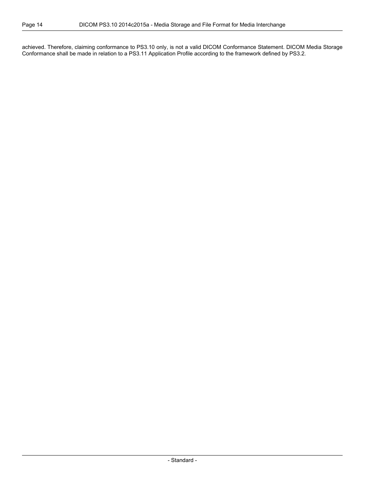achieved. Therefore, claiming conformance to PS3.10 only, is not a valid DICOM Conformance Statement. DICOM Media Storage Conformance shall be made in relation to a [PS3.11](part11.pdf#PS3.11) Application Profile according to the framework defined by [PS3.2.](part02.pdf#PS3.2)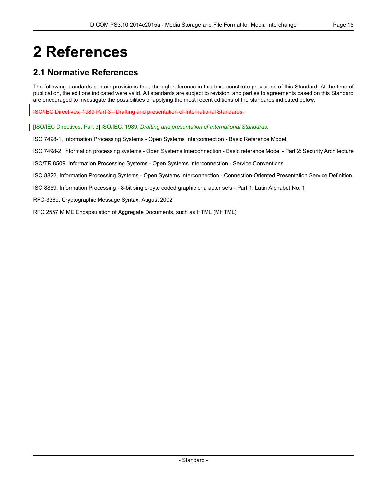# <span id="page-14-0"></span>**2 References**

### <span id="page-14-1"></span>**2.1 Normative References**

The following standards contain provisions that, through reference in this text, constitute provisions of this Standard. At the time of publication, the editions indicated were valid. All standards are subject to revision, and parties to agreements based on this Standard are encouraged to investigate the possibilities of applying the most recent editions of the standards indicated below.

<span id="page-14-2"></span>ISO/IEC Directives, 1989 Part 3 - Drafting and presentation of International Standards.

- [ISO/IEC Directives, Part 3] ISO/IEC. 1989. *Drafting and presentation of International Standards*.
- ISO 7498-1, Information Processing Systems Open Systems Interconnection Basic Reference Model.
- ISO 7498-2, Information processing systems Open Systems Interconnection Basic reference Model Part 2: Security Architecture

ISO/TR 8509, Information Processing Systems - Open Systems Interconnection - Service Conventions

ISO 8822, Information Processing Systems - Open Systems Interconnection - Connection-Oriented Presentation Service Definition.

ISO 8859, Information Processing - 8-bit single-byte coded graphic character sets - Part 1: Latin Alphabet No. 1

RFC-3369, Cryptographic Message Syntax, August 2002

RFC 2557 MIME Encapsulation of Aggregate Documents, such as HTML (MHTML)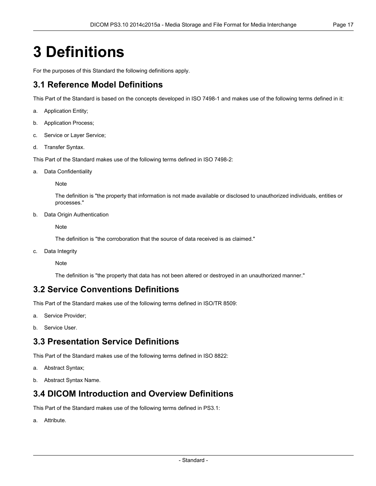## <span id="page-16-0"></span>**3 Definitions**

<span id="page-16-1"></span>For the purposes of this Standard the following definitions apply.

## **3.1 Reference Model Definitions**

This Part of the Standard is based on the concepts developed in ISO 7498-1 and makes use of the following terms defined in it:

- a. Application Entity;
- b. Application Process;
- c. Service or Layer Service;
- d. Transfer Syntax.

This Part of the Standard makes use of the following terms defined in ISO 7498-2:

a. Data Confidentiality

Note

The definition is "the property that information is not made available or disclosed to unauthorized individuals, entities or processes."

b. Data Origin Authentication

**Note** 

The definition is "the corroboration that the source of data received is as claimed."

<span id="page-16-2"></span>c. Data Integrity

Note

The definition is "the property that data has not been altered or destroyed in an unauthorized manner."

### **3.2 Service Conventions Definitions**

<span id="page-16-3"></span>This Part of the Standard makes use of the following terms defined in ISO/TR 8509:

- a. Service Provider;
- b. Service User.

### **3.3 Presentation Service Definitions**

<span id="page-16-4"></span>This Part of the Standard makes use of the following terms defined in ISO 8822:

- a. Abstract Syntax;
- b. Abstract Syntax Name.

### **3.4 DICOM Introduction and Overview Definitions**

This Part of the Standard makes use of the following terms defined in [PS3.1:](part01.pdf#PS3.1)

a. Attribute.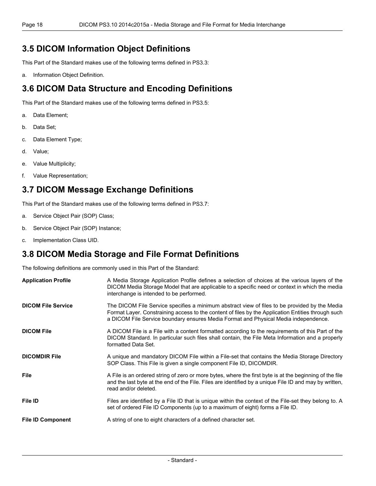### <span id="page-17-0"></span>**3.5 DICOM Information Object Definitions**

This Part of the Standard makes use of the following terms defined in [PS3.3:](part03.pdf#PS3.3)

<span id="page-17-1"></span>a. Information Object Definition.

## **3.6 DICOM Data Structure and Encoding Definitions**

This Part of the Standard makes use of the following terms defined in [PS3.5:](part05.pdf#PS3.5)

- a. Data Element;
- b. Data Set;
- c. Data Element Type;
- d. Value;
- <span id="page-17-2"></span>e. Value Multiplicity;
- f. Value Representation;

## **3.7 DICOM Message Exchange Definitions**

This Part of the Standard makes use of the following terms defined in [PS3.7:](part07.pdf#PS3.7)

- a. Service Object Pair (SOP) Class;
- <span id="page-17-3"></span>b. Service Object Pair (SOP) Instance;
- c. Implementation Class UID.

### **3.8 DICOM Media Storage and File Format Definitions**

The following definitions are commonly used in this Part of the Standard:

| <b>Application Profile</b> | A Media Storage Application Profile defines a selection of choices at the various layers of the<br>DICOM Media Storage Model that are applicable to a specific need or context in which the media<br>interchange is intended to be performed.                                              |
|----------------------------|--------------------------------------------------------------------------------------------------------------------------------------------------------------------------------------------------------------------------------------------------------------------------------------------|
| <b>DICOM File Service</b>  | The DICOM File Service specifies a minimum abstract view of files to be provided by the Media<br>Format Layer. Constraining access to the content of files by the Application Entities through such<br>a DICOM File Service boundary ensures Media Format and Physical Media independence. |
| <b>DICOM File</b>          | A DICOM File is a File with a content formatted according to the requirements of this Part of the<br>DICOM Standard. In particular such files shall contain, the File Meta Information and a properly<br>formatted Data Set.                                                               |
| <b>DICOMDIR File</b>       | A unique and mandatory DICOM File within a File-set that contains the Media Storage Directory<br>SOP Class. This File is given a single component File ID, DICOMDIR.                                                                                                                       |
| <b>File</b>                | A File is an ordered string of zero or more bytes, where the first byte is at the beginning of the file<br>and the last byte at the end of the File. Files are identified by a unique File ID and may by written,<br>read and/or deleted.                                                  |
| <b>File ID</b>             | Files are identified by a File ID that is unique within the context of the File-set they belong to. A<br>set of ordered File ID Components (up to a maximum of eight) forms a File ID.                                                                                                     |
| <b>File ID Component</b>   | A string of one to eight characters of a defined character set.                                                                                                                                                                                                                            |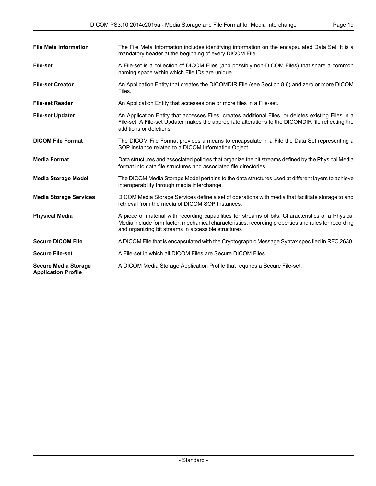| <b>File Meta Information</b>                              | The File Meta Information includes identifying information on the encapsulated Data Set. It is a<br>mandatory header at the beginning of every DICOM File.                                                                                                       |
|-----------------------------------------------------------|------------------------------------------------------------------------------------------------------------------------------------------------------------------------------------------------------------------------------------------------------------------|
| <b>File-set</b>                                           | A File-set is a collection of DICOM Files (and possibly non-DICOM Files) that share a common<br>naming space within which File IDs are unique.                                                                                                                   |
| <b>File-set Creator</b>                                   | An Application Entity that creates the DICOMDIR File (see Section 8.6) and zero or more DICOM<br>Files.                                                                                                                                                          |
| <b>File-set Reader</b>                                    | An Application Entity that accesses one or more files in a File-set.                                                                                                                                                                                             |
| <b>File-set Updater</b>                                   | An Application Entity that accesses Files, creates additional Files, or deletes existing Files in a<br>File-set. A File-set Updater makes the appropriate alterations to the DICOMDIR file reflecting the<br>additions or deletions.                             |
| <b>DICOM File Format</b>                                  | The DICOM File Format provides a means to encapsulate in a File the Data Set representing a<br>SOP Instance related to a DICOM Information Object.                                                                                                               |
| <b>Media Format</b>                                       | Data structures and associated policies that organize the bit streams defined by the Physical Media<br>format into data file structures and associated file directories.                                                                                         |
| <b>Media Storage Model</b>                                | The DICOM Media Storage Model pertains to the data structures used at different layers to achieve<br>interoperability through media interchange.                                                                                                                 |
| <b>Media Storage Services</b>                             | DICOM Media Storage Services define a set of operations with media that facilitate storage to and<br>retrieval from the media of DICOM SOP Instances.                                                                                                            |
| <b>Physical Media</b>                                     | A piece of material with recording capabilities for streams of bits. Characteristics of a Physical<br>Media include form factor, mechanical characteristics, recording properties and rules for recording<br>and organizing bit streams in accessible structures |
| <b>Secure DICOM File</b>                                  | A DICOM File that is encapsulated with the Cryptographic Message Syntax specified in RFC 2630.                                                                                                                                                                   |
| <b>Secure File-set</b>                                    | A File-set in which all DICOM Files are Secure DICOM Files.                                                                                                                                                                                                      |
| <b>Secure Media Storage</b><br><b>Application Profile</b> | A DICOM Media Storage Application Profile that requires a Secure File-set.                                                                                                                                                                                       |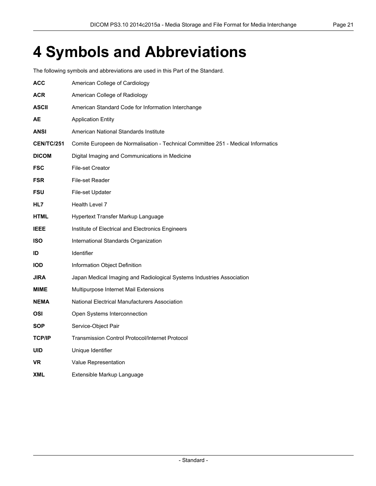## <span id="page-20-0"></span>**4 Symbols and Abbreviations**

The following symbols and abbreviations are used in this Part of the Standard.

| ACC               | American College of Cardiology                                                   |
|-------------------|----------------------------------------------------------------------------------|
| <b>ACR</b>        | American College of Radiology                                                    |
| <b>ASCII</b>      | American Standard Code for Information Interchange                               |
| AЕ                | <b>Application Entity</b>                                                        |
| ANSI              | American National Standards Institute                                            |
| <b>CEN/TC/251</b> | Comite Europeen de Normalisation - Technical Committee 251 - Medical Informatics |
| <b>DICOM</b>      | Digital Imaging and Communications in Medicine                                   |
| <b>FSC</b>        | <b>File-set Creator</b>                                                          |
| <b>FSR</b>        | File-set Reader                                                                  |
| <b>FSU</b>        | File-set Updater                                                                 |
| HL7               | Health Level 7                                                                   |
| <b>HTML</b>       | Hypertext Transfer Markup Language                                               |
| <b>IEEE</b>       | Institute of Electrical and Electronics Engineers                                |
| <b>ISO</b>        | International Standards Organization                                             |
| ID                | <b>Identifier</b>                                                                |
| <b>IOD</b>        | Information Object Definition                                                    |
| <b>JIRA</b>       | Japan Medical Imaging and Radiological Systems Industries Association            |
| MIME              | Multipurpose Internet Mail Extensions                                            |
| <b>NEMA</b>       | National Electrical Manufacturers Association                                    |
| OSI               | Open Systems Interconnection                                                     |
| <b>SOP</b>        | Service-Object Pair                                                              |
| <b>TCP/IP</b>     | <b>Transmission Control Protocol/Internet Protocol</b>                           |
| <b>UID</b>        | Unique Identifier                                                                |
| VR                | Value Representation                                                             |
| XML               | Extensible Markup Language                                                       |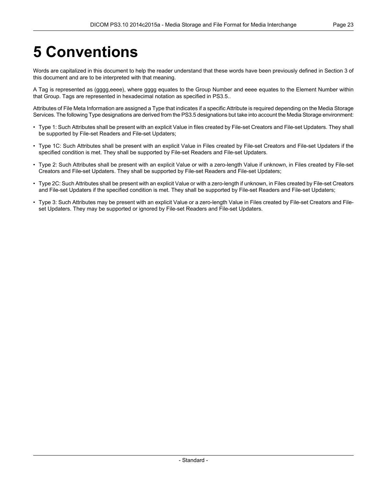# <span id="page-22-0"></span>**5 Conventions**

Words are capitalized in this document to help the reader understand that these words have been previously defined in Section 3 of this document and are to be interpreted with that meaning.

A Tag is represented as (gggg,eeee), where gggg equates to the Group Number and eeee equates to the Element Number within that Group. Tags are represented in hexadecimal notation as specified in [PS3.5.](part05.pdf#PS3.5).

Attributes of File Meta Information are assigned a Type that indicates if a specific Attribute is required depending on the Media Storage Services. The following Type designations are derived from the [PS3.5](part05.pdf#PS3.5) designations but take into account the Media Storage environment:

- Type 1: Such Attributes shall be present with an explicit Value in files created by File-set Creators and File-set Updaters. They shall be supported by File-set Readers and File-set Updaters;
- Type 1C: Such Attributes shall be present with an explicit Value in Files created by File-set Creators and File-set Updaters if the specified condition is met. They shall be supported by File-set Readers and File-set Updaters.
- Type 2: Such Attributes shall be present with an explicit Value or with a zero-length Value if unknown, in Files created by File-set Creators and File-set Updaters. They shall be supported by File-set Readers and File-set Updaters;
- Type 2C: Such Attributes shall be present with an explicit Value or with a zero-length if unknown, in Files created by File-set Creators and File-set Updaters if the specified condition is met. They shall be supported by File-set Readers and File-set Updaters;
- Type 3: Such Attributes may be present with an explicit Value or a zero-length Value in Files created by File-set Creators and Fileset Updaters. They may be supported or ignored by File-set Readers and File-set Updaters.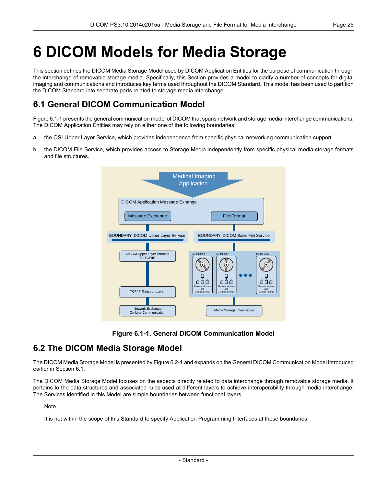# <span id="page-24-0"></span>**6 DICOM Models for Media Storage**

This section defines the DICOM Media Storage Model used by DICOM Application Entities for the purpose of communication through the interchange of removable storage media. Specifically, this Section provides a model to clarify a number of concepts for digital imaging and communications and introduces key terms used throughout the DICOM Standard. This model has been used to partition the DICOM Standard into separate parts related to storage media interchange.

## <span id="page-24-1"></span>**6.1 General DICOM Communication Model**

[Figure](#page-24-3) 6.1-1 presents the general communication model of DICOM that spans network and storage media interchange communications. The DICOM Application Entities may rely on either one of the following boundaries:

- a. the OSI Upper Layer Service, which provides independence from specific physical networking communication support
- <span id="page-24-3"></span>b. the DICOM File Service, which provides access to Storage Media independently from specific physical media storage formats and file structures.



**Figure 6.1-1. General DICOM Communication Model**

## <span id="page-24-2"></span>**6.2 The DICOM Media Storage Model**

The DICOM Media Storage Model is presented by [Figure](#page-25-2) 6.2-1 and expands on the General DICOM Communication Model introduced earlier in [Section](#page-24-1) 6.1.

The DICOM Media Storage Model focuses on the aspects directly related to data interchange through removable storage media. It pertains to the data structures and associated rules used at different layers to achieve interoperability through media interchange. The Services identified in this Model are simple boundaries between functional layers.

Note

It is not within the scope of this Standard to specify Application Programming Interfaces at these boundaries.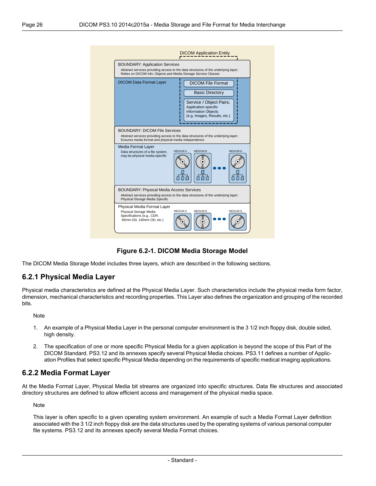<span id="page-25-2"></span>

#### **Figure 6.2-1. DICOM Media Storage Model**

<span id="page-25-0"></span>The DICOM Media Storage Model includes three layers, which are described in the following sections.

#### **6.2.1 Physical Media Layer**

Physical media characteristics are defined at the Physical Media Layer. Such characteristics include the physical media form factor, dimension, mechanical characteristics and recording properties. This Layer also defines the organization and grouping of the recorded bits.

Note

- <span id="page-25-1"></span>1. An example of a Physical Media Layer in the personal computer environment is the 3 1/2 inch floppy disk, double sided, high density.
- 2. The specification of one or more specific Physical Media for a given application is beyond the scope of this Part of the DICOM Standard. [PS3.12](part12.pdf#PS3.12) and its annexes specify several Physical Media choices. [PS3.11](part11.pdf#PS3.11) defines a number of Application Profiles that select specific Physical Media depending on the requirements of specific medical imaging applications.

#### **6.2.2 Media Format Layer**

At the Media Format Layer, Physical Media bit streams are organized into specific structures. Data file structures and associated directory structures are defined to allow efficient access and management of the physical media space.

**Note** 

This layer is often specific to a given operating system environment. An example of such a Media Format Layer definition associated with the 3 1/2 inch floppy disk are the data structures used by the operating systems of various personal computer file systems. [PS3.12](part12.pdf#PS3.12) and its annexes specify several Media Format choices.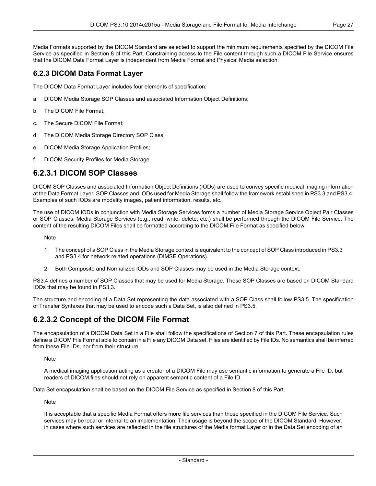Media Formats supported by the DICOM Standard are selected to support the minimum requirements specified by the DICOM File Service as specified in Section 8 of this Part. Constraining access to the File content through such a DICOM File Service ensures that the DICOM Data Format Layer is independent from Media Format and Physical Media selection.

#### <span id="page-26-0"></span>**6.2.3 DICOM Data Format Layer**

The DICOM Data Format Layer includes four elements of specification:

- a. DICOM Media Storage SOP Classes and associated Information Object Definitions;
- b. The DICOM File Format;
- c. The Secure DICOM File Format;
- d. The DICOM Media Storage Directory SOP Class;
- <span id="page-26-1"></span>e. DICOM Media Storage Application Profiles;
- f. DICOM Security Profiles for Media Storage.

#### **6.2.3.1 DICOM SOP Classes**

DICOM SOP Classes and associated Information Object Definitions (IODs) are used to convey specific medical imaging information at the Data Format Layer. SOP Classes and IODs used for Media Storage shall follow the framework established in [PS3.3](part03.pdf#PS3.3) and [PS3.4.](part04.pdf#PS3.4) Examples of such IODs are modality images, patient information, results, etc.

The use of DICOM IODs in conjunction with Media Storage Services forms a number of Media Storage Service Object Pair Classes or SOP Classes. Media Storage Services (e.g., read, write, delete, etc.) shall be performed through the DICOM File Service. The content of the resulting DICOM Files shall be formatted according to the DICOM File Format as specified below.

Note

- 1. The concept of a SOP Class in the Media Storage context is equivalent to the concept of SOP Class introduced in [PS3.3](part03.pdf#PS3.3) and [PS3.4](part04.pdf#PS3.4) for network related operations (DIMSE Operations).
- 2. Both Composite and Normalized IODs and SOP Classes may be used in the Media Storage context.

<span id="page-26-2"></span>[PS3.4](part04.pdf#PS3.4) defines a number of SOP Classes that may be used for Media Storage. These SOP Classes are based on DICOM Standard IODs that may be found in [PS3.3](part03.pdf#PS3.3).

The structure and encoding of a Data Set representing the data associated with a SOP Class shall follow [PS3.5.](part05.pdf#PS3.5) The specification of Transfer Syntaxes that may be used to encode such a Data Set, is also defined in [PS3.5.](part05.pdf#PS3.5)

### **6.2.3.2 Concept of the DICOM File Format**

The encapsulation of a DICOM Data Set in a File shall follow the specifications of Section 7 of this Part. These encapsulation rules define a DICOM File Format able to contain in a File any DICOM Data set. Files are identified by File IDs. No semantics shall be inferred from these File IDs, nor from their structure.

**Note** 

A medical imaging application acting as a creator of a DICOM File may use semantic information to generate a File ID, but readers of DICOM files should not rely on apparent semantic content of a File ID.

Data Set encapsulation shall be based on the DICOM File Service as specified in Section 8 of this Part.

Note

It is acceptable that a specific Media Format offers more file services than those specified in the DICOM File Service. Such services may be local or internal to an implementation. Their usage is beyond the scope of the DICOM Standard. However, in cases where such services are reflected in the file structures of the Media format Layer or in the Data Set encoding of an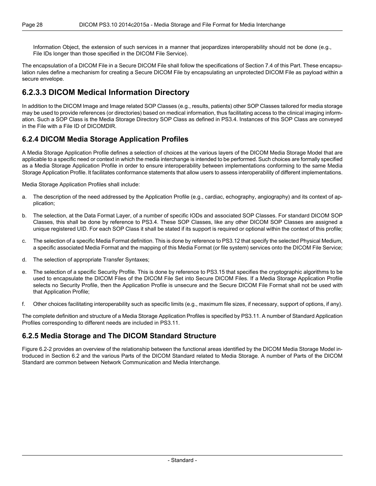Information Object, the extension of such services in a manner that jeopardizes interoperability should not be done (e.g., File IDs longer than those specified in the DICOM File Service).

<span id="page-27-0"></span>The encapsulation of a DICOM File in a Secure DICOM File shall follow the specifications of [Section](#page-33-1) 7.4 of this Part. These encapsulation rules define a mechanism for creating a Secure DICOM File by encapsulating an unprotected DICOM File as payload within a secure envelope.

### **6.2.3.3 DICOM Medical Information Directory**

<span id="page-27-1"></span>In addition to the DICOM Image and Image related SOP Classes (e.g., results, patients) other SOP Classes tailored for media storage may be used to provide references (or directories) based on medical information, thus facilitating access to the clinical imaging information. Such a SOP Class is the Media Storage Directory SOP Class as defined in [PS3.4](part04.pdf#PS3.4). Instances of this SOP Class are conveyed in the File with a File ID of DICOMDIR.

#### **6.2.4 DICOM Media Storage Application Profiles**

A Media Storage Application Profile defines a selection of choices at the various layers of the DICOM Media Storage Model that are applicable to a specific need or context in which the media interchange is intended to be performed. Such choices are formally specified as a Media Storage Application Profile in order to ensure interoperability between implementations conforming to the same Media Storage Application Profile. It facilitates conformance statements that allow users to assess interoperability of different implementations.

Media Storage Application Profiles shall include:

- a. The description of the need addressed by the Application Profile (e.g., cardiac, echography, angiography) and its context of application;
- b. The selection, at the Data Format Layer, of a number of specific IODs and associated SOP Classes. For standard DICOM SOP Classes, this shall be done by reference to [PS3.4.](part04.pdf#PS3.4) These SOP Classes, like any other DICOM SOP Classes are assigned a unique registered UID. For each SOP Class it shall be stated if its support is required or optional within the context of this profile;
- c. The selection of a specific Media Format definition. This is done by reference to [PS3.12](part12.pdf#PS3.12) that specify the selected Physical Medium, a specific associated Media Format and the mapping of this Media Format (or file system) services onto the DICOM File Service;
- d. The selection of appropriate Transfer Syntaxes;
- e. The selection of a specific Security Profile. This is done by reference to [PS3.15](part15.pdf#PS3.15) that specifies the cryptographic algorithms to be used to encapsulate the DICOM Files of the DICOM File Set into Secure DICOM Files. If a Media Storage Application Profile selects no Security Profile, then the Application Profile is unsecure and the Secure DICOM File Format shall not be used with that Application Profile;
- <span id="page-27-2"></span>f. Other choices facilitating interoperability such as specific limits (e.g., maximum file sizes, if necessary, support of options, if any).

The complete definition and structure of a Media Storage Application Profiles is specified by [PS3.11](part11.pdf#PS3.11). A number of Standard Application Profiles corresponding to different needs are included in [PS3.11](part11.pdf#PS3.11).

#### **6.2.5 Media Storage and The DICOM Standard Structure**

[Figure](#page-28-0) 6.2-2 provides an overview of the relationship between the functional areas identified by the DICOM Media Storage Model introduced in [Section](#page-24-2) 6.2 and the various Parts of the DICOM Standard related to Media Storage. A number of Parts of the DICOM Standard are common between Network Communication and Media Interchange.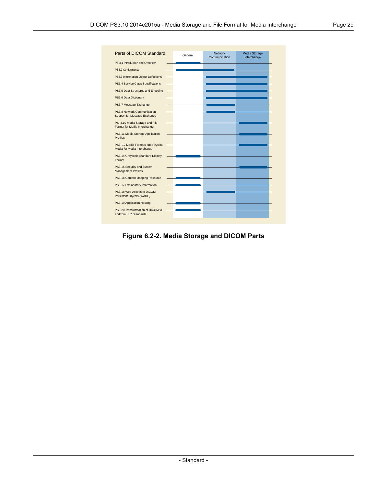<span id="page-28-0"></span>

| Parts of DICOM Standard                                           |         | Network       | Media Storage |
|-------------------------------------------------------------------|---------|---------------|---------------|
|                                                                   | General | Communication | Interchange   |
| PS 3.1 Introduction and Overview                                  |         |               |               |
| PS3.2 Conformance                                                 |         |               |               |
| PS3.3 Information Object Definitions                              |         |               |               |
| PS3.4 Service Class Specifications                                |         |               |               |
| PS3.5 Data Structures and Encoding                                |         |               |               |
| PS3.6 Data Dictionary                                             |         |               |               |
| PS3.7 Message Exchange                                            |         |               |               |
| PS3.8 Network Communication<br>Support for Message Exchange       |         |               |               |
| PS. 3.10 Media Storage and File<br>Format for Media Interchange   |         |               |               |
| PS3.11 Media Storage Application<br><b>Profiles</b>               |         |               |               |
| PS3. 12 Media Formats and Physical<br>Media for Media Interchange |         |               |               |
| PS3.14 Grayscale Standard Display<br>Format                       |         |               |               |
| PS3.15 Security and System<br><b>Management Profiles</b>          |         |               |               |
| PS3.16 Content Mapping Resource                                   |         |               |               |
| PS3.17 Explanatory Information                                    |         |               |               |
| PS3.18 Web Access to DICOM<br>Persistent Objects (WADO)           |         |               |               |
| PS3.19 Application Hosting                                        |         |               |               |
| PS3.20 Transformation of DICOM to<br>andfrom HL7 Standards        |         |               |               |

**Figure 6.2-2. Media Storage and DICOM Parts**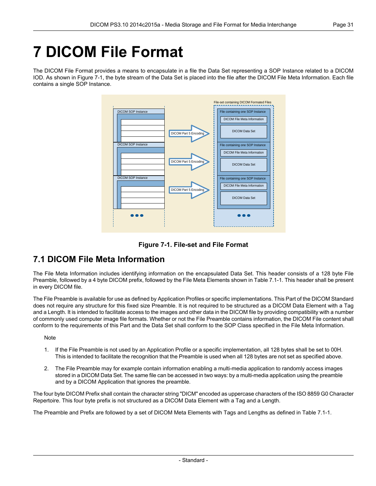# <span id="page-30-0"></span>**7 DICOM File Format**

<span id="page-30-2"></span>The DICOM File Format provides a means to encapsulate in a file the Data Set representing a SOP Instance related to a DICOM IOD. As shown in [Figure](#page-30-2) 7-1, the byte stream of the Data Set is placed into the file after the DICOM File Meta Information. Each file contains a single SOP Instance.





## <span id="page-30-1"></span>**7.1 DICOM File Meta Information**

The File Meta Information includes identifying information on the encapsulated Data Set. This header consists of a 128 byte File Preamble, followed by a 4 byte DICOM prefix, followed by the File Meta Elements shown in [Table](#page-31-0) 7.1-1. This header shall be present in every DICOM file.

The File Preamble is available for use as defined by Application Profiles or specific implementations. This Part of the DICOM Standard does not require any structure for this fixed size Preamble. It is not required to be structured as a DICOM Data Element with a Tag and a Length. It is intended to facilitate access to the images and other data in the DICOM file by providing compatibility with a number of commonly used computer image file formats. Whether or not the File Preamble contains information, the DICOM File content shall conform to the requirements of this Part and the Data Set shall conform to the SOP Class specified in the File Meta Information.

**Note** 

- 1. If the File Preamble is not used by an Application Profile or a specific implementation, all 128 bytes shall be set to 00H. This is intended to facilitate the recognition that the Preamble is used when all 128 bytes are not set as specified above.
- 2. The File Preamble may for example contain information enabling a multi-media application to randomly access images stored in a DICOM Data Set. The same file can be accessed in two ways: by a multi-media application using the preamble and by a DICOM Application that ignores the preamble.

The four byte DICOM Prefix shall contain the character string "DICM" encoded as uppercase characters of the ISO 8859 G0 Character Repertoire. This four byte prefix is not structured as a DICOM Data Element with a Tag and a Length.

The Preamble and Prefix are followed by a set of DICOM Meta Elements with Tags and Lengths as defined in [Table](#page-31-0) 7.1-1.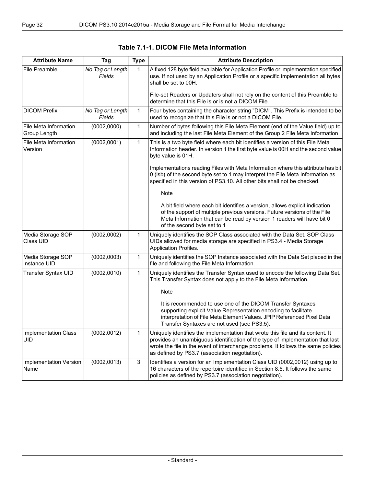<span id="page-31-0"></span>

| <b>Attribute Name</b>                     | Tag                        | <b>Type</b> | <b>Attribute Description</b>                                                                                                                                                                                                                                                                             |
|-------------------------------------------|----------------------------|-------------|----------------------------------------------------------------------------------------------------------------------------------------------------------------------------------------------------------------------------------------------------------------------------------------------------------|
| File Preamble                             | No Tag or Length<br>Fields | 1           | A fixed 128 byte field available for Application Profile or implementation specified<br>use. If not used by an Application Profile or a specific implementation all bytes<br>shall be set to 00H.                                                                                                        |
|                                           |                            |             | File-set Readers or Updaters shall not rely on the content of this Preamble to<br>determine that this File is or is not a DICOM File.                                                                                                                                                                    |
| <b>DICOM Prefix</b>                       | No Tag or Length<br>Fields | 1           | Four bytes containing the character string "DICM". This Prefix is intended to be<br>used to recognize that this File is or not a DICOM File.                                                                                                                                                             |
| File Meta Information<br>Group Length     | (0002, 0000)               | 1           | Number of bytes following this File Meta Element (end of the Value field) up to<br>and including the last File Meta Element of the Group 2 File Meta Information                                                                                                                                         |
| File Meta Information<br>Version          | (0002,0001)                | 1           | This is a two byte field where each bit identifies a version of this File Meta<br>Information header. In version 1 the first byte value is 00H and the second value<br>byte value is 01H.                                                                                                                |
|                                           |                            |             | Implementations reading Files with Meta Information where this attribute has bit<br>0 (Isb) of the second byte set to 1 may interpret the File Meta Information as<br>specified in this version of PS3.10. All other bits shall not be checked.                                                          |
|                                           |                            |             | <b>Note</b>                                                                                                                                                                                                                                                                                              |
|                                           |                            |             | A bit field where each bit identifies a version, allows explicit indication<br>of the support of multiple previous versions. Future versions of the File<br>Meta Information that can be read by version 1 readers will have bit 0<br>of the second byte set to 1                                        |
| Media Storage SOP<br>Class UID            | (0002, 0002)               | 1           | Uniquely identifies the SOP Class associated with the Data Set. SOP Class<br>UIDs allowed for media storage are specified in PS3.4 - Media Storage<br><b>Application Profiles.</b>                                                                                                                       |
| Media Storage SOP<br>Instance UID         | (0002, 0003)               | 1           | Uniquely identifies the SOP Instance associated with the Data Set placed in the<br>file and following the File Meta Information.                                                                                                                                                                         |
| Transfer Syntax UID                       | (0002, 0010)               | 1           | Uniquely identifies the Transfer Syntax used to encode the following Data Set.<br>This Transfer Syntax does not apply to the File Meta Information.                                                                                                                                                      |
|                                           |                            |             | <b>Note</b>                                                                                                                                                                                                                                                                                              |
|                                           |                            |             | It is recommended to use one of the DICOM Transfer Syntaxes<br>supporting explicit Value Representation encoding to facilitate<br>interpretation of File Meta Element Values. JPIP Referenced Pixel Data<br>Transfer Syntaxes are not used (see PS3.5).                                                  |
| <b>Implementation Class</b><br><b>UID</b> | (0002, 0012)               | 1           | Uniquely identifies the implementation that wrote this file and its content. It<br>provides an unambiguous identification of the type of implementation that last<br>wrote the file in the event of interchange problems. It follows the same policies<br>as defined by PS3.7 (association negotiation). |
| Implementation Version<br>Name            | (0002, 0013)               | $\mathsf 3$ | Identifies a version for an Implementation Class UID (0002,0012) using up to<br>16 characters of the repertoire identified in Section 8.5. It follows the same<br>policies as defined by PS3.7 (association negotiation).                                                                                |

**Table 7.1-1. DICOM File Meta Information**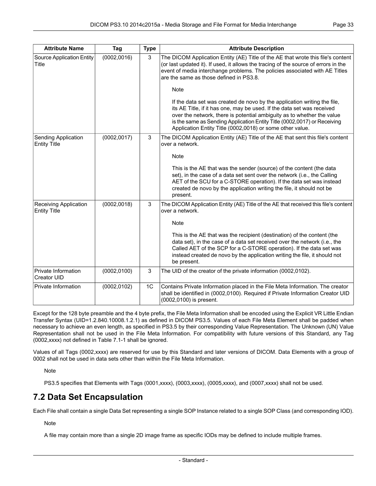| <b>Attribute Name</b>                               | Tag          | <b>Type</b>    | <b>Attribute Description</b>                                                                                                                                                                                                                                                                                                                                          |
|-----------------------------------------------------|--------------|----------------|-----------------------------------------------------------------------------------------------------------------------------------------------------------------------------------------------------------------------------------------------------------------------------------------------------------------------------------------------------------------------|
| Source Application Entity<br>Title                  | (0002, 0016) | 3              | The DICOM Application Entity (AE) Title of the AE that wrote this file's content<br>(or last updated it). If used, it allows the tracing of the source of errors in the<br>event of media interchange problems. The policies associated with AE Titles<br>are the same as those defined in PS3.8.                                                                     |
|                                                     |              |                | <b>Note</b>                                                                                                                                                                                                                                                                                                                                                           |
|                                                     |              |                | If the data set was created de novo by the application writing the file,<br>its AE Title, if it has one, may be used. If the data set was received<br>over the network, there is potential ambiguity as to whether the value<br>is the same as Sending Application Entity Title (0002,0017) or Receiving<br>Application Entity Title (0002,0018) or some other value. |
| Sending Application<br><b>Entity Title</b>          | (0002, 0017) | 3              | The DICOM Application Entity (AE) Title of the AE that sent this file's content<br>over a network.                                                                                                                                                                                                                                                                    |
|                                                     |              |                | <b>Note</b>                                                                                                                                                                                                                                                                                                                                                           |
|                                                     |              |                | This is the AE that was the sender (source) of the content (the data<br>set), in the case of a data set sent over the network (i.e., the Calling<br>AET of the SCU for a C-STORE operation). If the data set was instead<br>created de novo by the application writing the file, it should not be<br>present.                                                         |
| <b>Receiving Application</b><br><b>Entity Title</b> | (0002, 0018) | 3              | The DICOM Application Entity (AE) Title of the AE that received this file's content<br>over a network.                                                                                                                                                                                                                                                                |
|                                                     |              |                | Note                                                                                                                                                                                                                                                                                                                                                                  |
|                                                     |              |                | This is the AE that was the recipient (destination) of the content (the<br>data set), in the case of a data set received over the network (i.e., the<br>Called AET of the SCP for a C-STORE operation). If the data set was<br>instead created de novo by the application writing the file, it should not<br>be present.                                              |
| Private Information<br>Creator UID                  | (0002, 0100) | 3              | The UID of the creator of the private information (0002,0102).                                                                                                                                                                                                                                                                                                        |
| Private Information                                 | (0002, 0102) | 1 <sup>C</sup> | Contains Private Information placed in the File Meta Information. The creator<br>shall be identified in (0002,0100). Required if Private Information Creator UID<br>(0002,0100) is present.                                                                                                                                                                           |

Except for the 128 byte preamble and the 4 byte prefix, the File Meta Information shall be encoded using the Explicit VR Little Endian Transfer Syntax (UID=1.2.840.10008.1.2.1) as defined in DICOM [PS3.5](part05.pdf#PS3.5). Values of each File Meta Element shall be padded when necessary to achieve an even length, as specified in [PS3.5](part05.pdf#PS3.5) by their corresponding Value Representation. The Unknown (UN) Value Representation shall not be used in the File Meta Information. For compatibility with future versions of this Standard, any Tag (0002,xxxx) not defined in [Table](#page-31-0) 7.1-1 shall be ignored.

<span id="page-32-0"></span>Values of all Tags (0002,xxxx) are reserved for use by this Standard and later versions of DICOM. Data Elements with a group of 0002 shall not be used in data sets other than within the File Meta Information.

**Note** 

[PS3.5](part05.pdf#PS3.5) specifies that Elements with Tags (0001,xxxx), (0003,xxxx), (0005,xxxx), and (0007,xxxx) shall not be used.

## **7.2 Data Set Encapsulation**

Each File shall contain a single Data Set representing a single SOP Instance related to a single SOP Class (and corresponding IOD).

**Note** 

A file may contain more than a single 2D image frame as specific IODs may be defined to include multiple frames.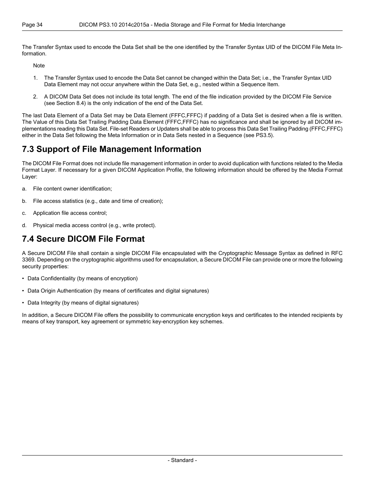The Transfer Syntax used to encode the Data Set shall be the one identified by the Transfer Syntax UID of the DICOM File Meta Information.

Note

- 1. The Transfer Syntax used to encode the Data Set cannot be changed within the Data Set; i.e., the Transfer Syntax UID Data Element may not occur anywhere within the Data Set, e.g., nested within a Sequence Item.
- 2. A DICOM Data Set does not include its total length. The end of the file indication provided by the DICOM File Service (see [Section](#page-37-0) 8.4) is the only indication of the end of the Data Set.

<span id="page-33-0"></span>The last Data Element of a Data Set may be Data Element (FFFC,FFFC) if padding of a Data Set is desired when a file is written. The Value of this Data Set Trailing Padding Data Element (FFFC,FFFC) has no significance and shall be ignored by all DICOM implementations reading this Data Set. File-set Readers or Updaters shall be able to process this Data Set Trailing Padding (FFFC,FFFC) either in the Data Set following the Meta Information or in Data Sets nested in a Sequence (see [PS3.5](part05.pdf#PS3.5)).

## **7.3 Support of File Management Information**

The DICOM File Format does not include file management information in order to avoid duplication with functions related to the Media Format Layer. If necessary for a given DICOM Application Profile, the following information should be offered by the Media Format Layer:

- a. File content owner identification;
- b. File access statistics (e.g., date and time of creation);
- <span id="page-33-1"></span>c. Application file access control;
- d. Physical media access control (e.g., write protect).

## **7.4 Secure DICOM File Format**

A Secure DICOM File shall contain a single DICOM File encapsulated with the Cryptographic Message Syntax as defined in RFC 3369. Depending on the cryptographic algorithms used for encapsulation, a Secure DICOM File can provide one or more the following security properties:

- Data Confidentiality (by means of encryption)
- Data Origin Authentication (by means of certificates and digital signatures)
- Data Integrity (by means of digital signatures)

In addition, a Secure DICOM File offers the possibility to communicate encryption keys and certificates to the intended recipients by means of key transport, key agreement or symmetric key-encryption key schemes.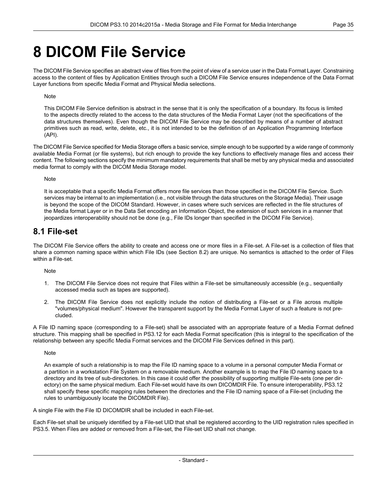## <span id="page-34-0"></span>**8 DICOM File Service**

The DICOM File Service specifies an abstract view of files from the point of view of a service user in the Data Format Layer. Constraining access to the content of files by Application Entities through such a DICOM File Service ensures independence of the Data Format Layer functions from specific Media Format and Physical Media selections.

#### Note

This DICOM File Service definition is abstract in the sense that it is only the specification of a boundary. Its focus is limited to the aspects directly related to the access to the data structures of the Media Format Layer (not the specifications of the data structures themselves). Even though the DICOM File Service may be described by means of a number of abstract primitives such as read, write, delete, etc., it is not intended to be the definition of an Application Programming Interface (API).

The DICOM File Service specified for Media Storage offers a basic service, simple enough to be supported by a wide range of commonly available Media Format (or file systems), but rich enough to provide the key functions to effectively manage files and access their content. The following sections specify the minimum mandatory requirements that shall be met by any physical media and associated media format to comply with the DICOM Media Storage model.

#### Note

<span id="page-34-1"></span>It is acceptable that a specific Media Format offers more file services than those specified in the DICOM File Service. Such services may be internal to an implementation (i.e., not visible through the data structures on the Storage Media). Their usage is beyond the scope of the DICOM Standard. However, in cases where such services are reflected in the file structures of the Media format Layer or in the Data Set encoding an Information Object, the extension of such services in a manner that jeopardizes interoperability should not be done (e.g., File IDs longer than specified in the DICOM File Service).

### **8.1 File-set**

The DICOM File Service offers the ability to create and access one or more files in a File-set. A File-set is a collection of files that share a common naming space within which File IDs (see [Section](#page-35-0) 8.2) are unique. No semantics is attached to the order of Files within a File-set.

Note

- 1. The DICOM File Service does not require that Files within a File-set be simultaneously accessible (e.g., sequentially accessed media such as tapes are supported).
- 2. The DICOM File Service does not explicitly include the notion of distributing a File-set or a File across multiple "volumes/physical medium". However the transparent support by the Media Format Layer of such a feature is not precluded.

A File ID naming space (corresponding to a File-set) shall be associated with an appropriate feature of a Media Format defined structure. This mapping shall be specified in [PS3.12](part12.pdf#PS3.12) for each Media Format specification (this is integral to the specification of the relationship between any specific Media Format services and the DICOM File Services defined in this part).

Note

An example of such a relationship is to map the File ID naming space to a volume in a personal computer Media Format or a partition in a workstation File System on a removable medium. Another example is to map the File ID naming space to a directory and its tree of sub-directories. In this case it could offer the possibility of supporting multiple File-sets (one per directory) on the same physical medium. Each File-set would have its own DICOMDIR File. To ensure interoperability, [PS3.12](part12.pdf#PS3.12) shall specify these specific mapping rules between the directories and the File ID naming space of a File-set (including the rules to unambiguously locate the DICOMDIR File).

A single File with the File ID DICOMDIR shall be included in each File-set.

Each File-set shall be uniquely identified by a File-set UID that shall be registered according to the UID registration rules specified in [PS3.5](part05.pdf#PS3.5). When Files are added or removed from a File-set, the File-set UID shall not change.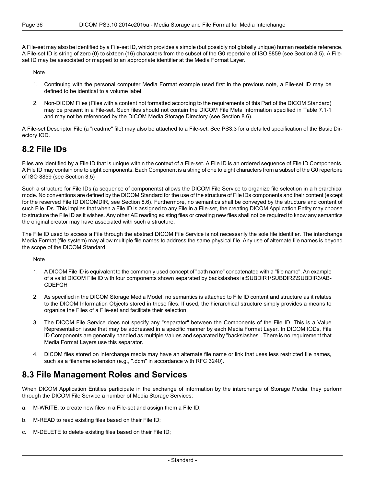A File-set may also be identified by a File-set ID, which provides a simple (but possibly not globally unique) human readable reference. A File-set ID is string of zero (0) to sixteen (16) characters from the subset of the G0 repertoire of ISO 8859 (see [Section](#page-37-1) 8.5). A Fileset ID may be associated or mapped to an appropriate identifier at the Media Format Layer.

Note

- 1. Continuing with the personal computer Media Format example used first in the previous note, a File-set ID may be defined to be identical to a volume label.
- 2. Non-DICOM Files (Files with a content not formatted according to the requirements of this Part of the DICOM Standard) may be present in a File-set. Such files should not contain the DICOM File Meta Information specified in [Table](#page-31-0) 7.1-1 and may not be referenced by the DICOM Media Storage Directory (see [Section](#page-37-2) 8.6).

<span id="page-35-0"></span>A File-set Descriptor File (a "readme" file) may also be attached to a File-set. See [PS3.3](part03.pdf#PS3.3) for a detailed specification of the Basic Directory IOD.

## **8.2 File IDs**

Files are identified by a File ID that is unique within the context of a File-set. A File ID is an ordered sequence of File ID Components. A File ID may contain one to eight components. Each Component is a string of one to eight characters from a subset of the G0 repertoire of ISO 8859 (see [Section](#page-37-1) 8.5)

Such a structure for File IDs (a sequence of components) allows the DICOM File Service to organize file selection in a hierarchical mode. No conventions are defined by the DICOM Standard for the use of the structure of File IDs components and their content (except for the reserved File ID DICOMDIR, see [Section](#page-37-2) 8.6). Furthermore, no semantics shall be conveyed by the structure and content of such File IDs. This implies that when a File ID is assigned to any File in a File-set, the creating DICOM Application Entity may choose to structure the File ID as it wishes. Any other AE reading existing files or creating new files shall not be required to know any semantics the original creator may have associated with such a structure.

The File ID used to access a File through the abstract DICOM File Service is not necessarily the sole file identifier. The interchange Media Format (file system) may allow multiple file names to address the same physical file. Any use of alternate file names is beyond the scope of the DICOM Standard.

**Note** 

- 1. A DICOM File ID is equivalent to the commonly used concept of "path name" concatenated with a "file name". An example of a valid DICOM File ID with four components shown separated by backslashes is:SUBDIR1\SUBDIR2\SUBDIR3\AB-CDEFGH
- 2. As specified in the DICOM Storage Media Model, no semantics is attached to File ID content and structure as it relates to the DICOM Information Objects stored in these files. If used, the hierarchical structure simply provides a means to organize the Files of a File-set and facilitate their selection.
- <span id="page-35-1"></span>3. The DICOM File Service does not specify any "separator" between the Components of the File ID. This is a Value Representation issue that may be addressed in a specific manner by each Media Format Layer. In DICOM IODs, File ID Components are generally handled as multiple Values and separated by "backslashes". There is no requirement that Media Format Layers use this separator.
- 4. DICOM files stored on interchange media may have an alternate file name or link that uses less restricted file names, such as a filename extension (e.g., ".dcm" in accordance with RFC 3240).

### **8.3 File Management Roles and Services**

When DICOM Application Entities participate in the exchange of information by the interchange of Storage Media, they perform through the DICOM File Service a number of Media Storage Services:

- a. M-WRITE, to create new files in a File-set and assign them a File ID;
- b. M-READ to read existing files based on their File ID;
- c. M-DELETE to delete existing files based on their File ID;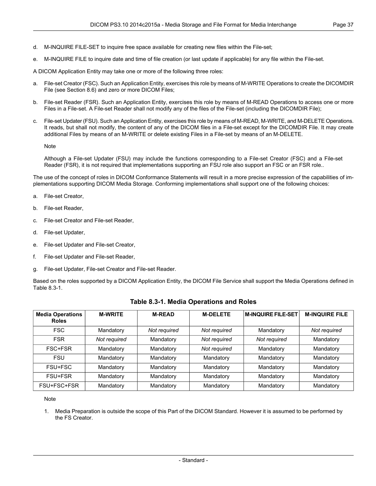- d. M-INQUIRE FILE-SET to inquire free space available for creating new files within the File-set;
- e. M-INQUIRE FILE to inquire date and time of file creation (or last update if applicable) for any file within the File-set.

A DICOM Application Entity may take one or more of the following three roles:

- a. File-set Creator (FSC). Such an Application Entity, exercises this role by means of M-WRITE Operations to create the DICOMDIR File (see [Section](#page-37-2) 8.6) and zero or more DICOM Files;
- b. File-set Reader (FSR). Such an Application Entity, exercises this role by means of M-READ Operations to access one or more Files in a File-set. A File-set Reader shall not modify any of the files of the File-set (including the DICOMDIR File);
- File-set Updater (FSU). Such an Application Entity, exercises this role by means of M-READ, M-WRITE, and M-DELETE Operations. It reads, but shall not modify, the content of any of the DICOM files in a File-set except for the DICOMDIR File. It may create additional Files by means of an M-WRITE or delete existing Files in a File-set by means of an M-DELETE.

Note

Although a File-set Updater (FSU) may include the functions corresponding to a File-set Creator (FSC) and a File-set Reader (FSR), it is not required that implementations supporting an FSU role also support an FSC or an FSR role..

The use of the concept of roles in DICOM Conformance Statements will result in a more precise expression of the capabilities of implementations supporting DICOM Media Storage. Conforming implementations shall support one of the following choices:

- a. File-set Creator,
- b. File-set Reader,
- c. File-set Creator and File-set Reader,
- d. File-set Updater,
- e. File-set Updater and File-set Creator,
- f. File-set Updater and File-set Reader,
- <span id="page-36-0"></span>g. File-set Updater, File-set Creator and File-set Reader.

Based on the roles supported by a DICOM Application Entity, the DICOM File Service shall support the Media Operations defined in [Table](#page-36-0) 8.3-1.

| <b>Media Operations</b><br><b>Roles</b> | <b>M-WRITE</b> | <b>M-READ</b> | <b>M-DELETE</b> | <b>M-INQUIRE FILE-SET</b> | <b>M-INQUIRE FILE</b> |
|-----------------------------------------|----------------|---------------|-----------------|---------------------------|-----------------------|
| <b>FSC</b>                              | Mandatory      | Not required  | Not required    | Mandatory                 | Not required          |
| <b>FSR</b>                              | Not required   | Mandatory     | Not required    | Not required              | Mandatory             |
| FSC+FSR                                 | Mandatory      | Mandatory     | Not required    | Mandatory                 | Mandatory             |
| <b>FSU</b>                              | Mandatory      | Mandatory     | Mandatory       | Mandatory                 | Mandatory             |
| FSU+FSC                                 | Mandatory      | Mandatory     | Mandatory       | Mandatory                 | Mandatory             |
| FSU+FSR                                 | Mandatory      | Mandatory     | Mandatory       | Mandatory                 | Mandatory             |
| FSU+FSC+FSR                             | Mandatory      | Mandatory     | Mandatory       | Mandatory                 | Mandatory             |

#### **Table 8.3-1. Media Operations and Roles**

#### Note

1. Media Preparation is outside the scope of this Part of the DICOM Standard. However it is assumed to be performed by the FS Creator.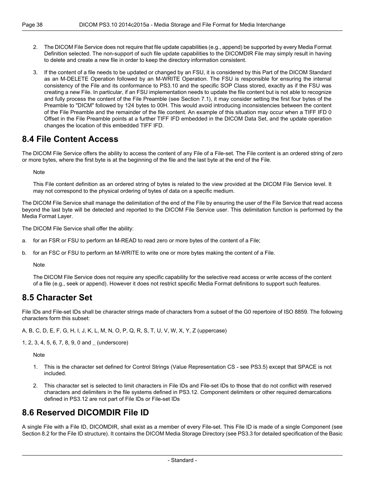- 2. The DICOM File Service does not require that file update capabilities (e.g., append) be supported by every Media Format Definition selected. The non-support of such file update capabilities to the DICOMDIR File may simply result in having to delete and create a new file in order to keep the directory information consistent.
- 3. If the content of a file needs to be updated or changed by an FSU, it is considered by this Part of the DICOM Standard as an M-DELETE Operation followed by an M-WRITE Operation. The FSU is responsible for ensuring the internal consistency of the File and its conformance to PS3.10 and the specific SOP Class stored, exactly as if the FSU was creating a new File. In particular, if an FSU implementation needs to update the file content but is not able to recognize and fully process the content of the File Preamble (see [Section](#page-30-1) 7.1), it may consider setting the first four bytes of the Preamble to "DICM" followed by 124 bytes to 00H. This would avoid introducing inconsistencies between the content of the File Preamble and the remainder of the file content. An example of this situation may occur when a TIFF IFD 0 Offset in the File Preamble points at a further TIFF IFD embedded in the DICOM Data Set, and the update operation changes the location of this embedded TIFF IFD.

### <span id="page-37-0"></span>**8.4 File Content Access**

The DICOM File Service offers the ability to access the content of any File of a File-set. The File content is an ordered string of zero or more bytes, where the first byte is at the beginning of the file and the last byte at the end of the File.

**Note** 

This File content definition as an ordered string of bytes is related to the view provided at the DICOM File Service level. It may not correspond to the physical ordering of bytes of data on a specific medium.

The DICOM File Service shall manage the delimitation of the end of the File by ensuring the user of the File Service that read access beyond the last byte will be detected and reported to the DICOM File Service user. This delimitation function is performed by the Media Format Layer.

The DICOM File Service shall offer the ability:

- a. for an FSR or FSU to perform an M-READ to read zero or more bytes of the content of a File;
- <span id="page-37-1"></span>b. for an FSC or FSU to perform an M-WRITE to write one or more bytes making the content of a File.

Note

The DICOM File Service does not require any specific capability for the selective read access or write access of the content of a file (e.g., seek or append). However it does not restrict specific Media Format definitions to support such features.

### **8.5 Character Set**

File IDs and File-set IDs shall be character strings made of characters from a subset of the G0 repertoire of ISO 8859. The following characters form this subset:

A, B, C, D, E, F, G, H, I, J, K, L, M, N, O, P, Q, R, S, T, U, V, W, X, Y, Z (uppercase)

1, 2, 3, 4, 5, 6, 7, 8, 9, 0 and \_ (underscore)

**Note** 

- <span id="page-37-2"></span>1. This is the character set defined for Control Strings (Value Representation CS - see [PS3.5\)](part05.pdf#PS3.5) except that SPACE is not included.
- 2. This character set is selected to limit characters in File IDs and File-set IDs to those that do not conflict with reserved characters and delimiters in the file systems defined in [PS3.12](part12.pdf#PS3.12). Component delimiters or other required demarcations defined in [PS3.12](part12.pdf#PS3.12) are not part of File IDs or File-set IDs

## **8.6 Reserved DICOMDIR File ID**

A single File with a File ID, DICOMDIR, shall exist as a member of every File-set. This File ID is made of a single Component (see [Section](#page-35-0) 8.2 for the File ID structure). It contains the DICOM Media Storage Directory (see [PS3.3](part03.pdf#PS3.3) for detailed specification of the Basic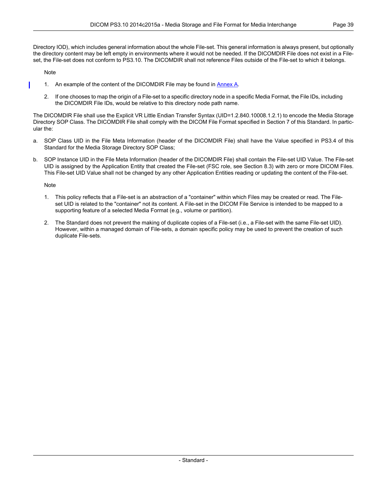Directory IOD), which includes general information about the whole File-set. This general information is always present, but optionally the directory content may be left empty in environments where it would not be needed. If the DICOMDIR File does not exist in a Fileset, the File-set does not conform to PS3.10. The DICOMDIR shall not reference Files outside of the File-set to which it belongs.

Note

- 1. An example of the content of the DICOMDIR File may be found in [Annex](#page-42-0) A.
- 2. If one chooses to map the origin of a File-set to a specific directory node in a specific Media Format, the File IDs, including the DICOMDIR File IDs, would be relative to this directory node path name.

The DICOMDIR File shall use the Explicit VR Little Endian Transfer Syntax (UID=1.2.840.10008.1.2.1) to encode the Media Storage Directory SOP Class. The DICOMDIR File shall comply with the DICOM File Format specified in Section 7 of this Standard. In particular the:

- a. SOP Class UID in the File Meta Information (header of the DICOMDIR File) shall have the Value specified in [PS3.4](part04.pdf#PS3.4) of this Standard for the Media Storage Directory SOP Class;
- b. SOP Instance UID in the File Meta Information (header of the DICOMDIR File) shall contain the File-set UID Value. The File-set UID is assigned by the Application Entity that created the File-set (FSC role, see [Section](#page-35-1) 8.3) with zero or more DICOM Files. This File-set UID Value shall not be changed by any other Application Entities reading or updating the content of the File-set.

#### Note

- 1. This policy reflects that a File-set is an abstraction of a "container" within which Files may be created or read. The Fileset UID is related to the "container" not its content. A File-set in the DICOM File Service is intended to be mapped to a supporting feature of a selected Media Format (e.g., volume or partition).
- 2. The Standard does not prevent the making of duplicate copies of a File-set (i.e., a File-set with the same File-set UID). However, within a managed domain of File-sets, a domain specific policy may be used to prevent the creation of such duplicate File-sets.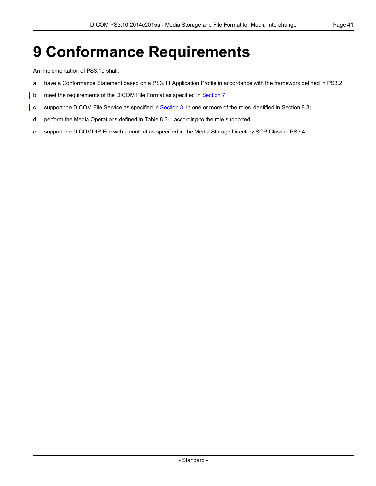## <span id="page-40-0"></span>**9 Conformance Requirements**

An implementation of PS3.10 shall:

- a. have a Conformance Statement based on a [PS3.11](part11.pdf#PS3.11) Application Profile in accordance with the framework defined in [PS3.2](part02.pdf#PS3.2);
- b. meet the requirements of the DICOM File Format as specified in **[Section](#page-30-0) 7**;
- c. support the DICOM File Service as specified in [Section](#page-35-1) 8, in one or more of the roles identified in Section 8.3;
	- d. perform the Media Operations defined in [Table](#page-36-0) 8.3-1 according to the role supported;
	- e. support the DICOMDIR File with a content as specified in the Media Storage Directory SOP Class in [PS3.4.](part04.pdf#PS3.4)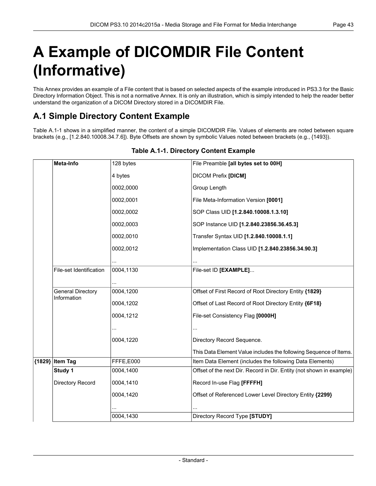# <span id="page-42-0"></span>**A Example of DICOMDIR File Content (Informative)**

<span id="page-42-1"></span>This Annex provides an example of a File content that is based on selected aspects of the example introduced in [PS3.3](part03.pdf#PS3.3) for the Basic Directory Information Object. This is not a normative Annex. It is only an illustration, which is simply intended to help the reader better understand the organization of a DICOM Directory stored in a DICOMDIR File.

## **A.1 Simple Directory Content Example**

<span id="page-42-2"></span>[Table](#page-42-2) A.1-1 shows in a simplified manner, the content of a simple DICOMDIR File. Values of elements are noted between square brackets (e.g., [1.2.840.10008.34.7.6]). Byte Offsets are shown by symbolic Values noted between brackets (e.g., {1493}).

|        | Meta-Info                               | 128 bytes | File Preamble [all bytes set to 00H]                                 |
|--------|-----------------------------------------|-----------|----------------------------------------------------------------------|
|        |                                         | 4 bytes   | <b>DICOM Prefix [DICM]</b>                                           |
|        |                                         | 0002,0000 | Group Length                                                         |
|        |                                         | 0002,0001 | File Meta-Information Version [0001]                                 |
|        |                                         | 0002,0002 | SOP Class UID [1.2.840.10008.1.3.10]                                 |
|        |                                         | 0002,0003 | SOP Instance UID [1.2.840.23856.36.45.3]                             |
|        |                                         | 0002,0010 | Transfer Syntax UID [1.2.840.10008.1.1]                              |
|        |                                         | 0002,0012 | Implementation Class UID [1.2.840.23856.34.90.3]                     |
|        |                                         |           |                                                                      |
|        | <b>File-set Identification</b>          | 0004,1130 | File-set ID [EXAMPLE]                                                |
|        |                                         |           |                                                                      |
|        | <b>General Directory</b><br>Information | 0004,1200 | Offset of First Record of Root Directory Entity {1829}               |
|        |                                         | 0004,1202 | Offset of Last Record of Root Directory Entity {6F18}                |
|        |                                         | 0004,1212 | File-set Consistency Flag [0000H]                                    |
|        |                                         |           |                                                                      |
|        |                                         | 0004,1220 | Directory Record Sequence.                                           |
|        |                                         |           | This Data Element Value includes the following Sequence of Items.    |
| {1829} | <b>Item Tag</b>                         | FFFE,E000 | Item Data Element (includes the following Data Elements)             |
|        | Study 1                                 | 0004,1400 | Offset of the next Dir. Record in Dir. Entity (not shown in example) |
|        | Directory Record                        | 0004,1410 | Record In-use Flag [FFFFH]                                           |
|        |                                         | 0004,1420 | Offset of Referenced Lower Level Directory Entity {2299}             |
|        |                                         |           |                                                                      |
|        |                                         | 0004,1430 | Directory Record Type [STUDY]                                        |

#### **Table A.1-1. Directory Content Example**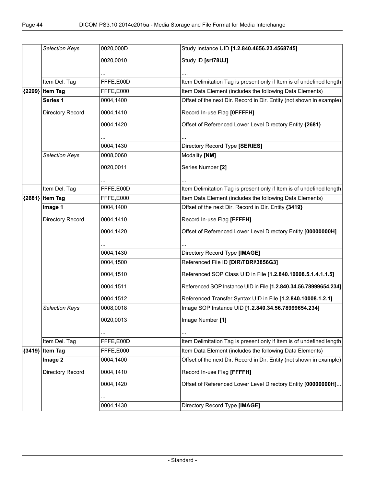|          | Selection Keys    | 0020,000D | Study Instance UID [1.2.840.4656.23.4568745]                         |
|----------|-------------------|-----------|----------------------------------------------------------------------|
|          |                   | 0020,0010 | Study ID [srt78UJ]                                                   |
|          |                   |           |                                                                      |
|          |                   |           |                                                                      |
|          | Item Del. Tag     | FFFE,E00D | Item Delimitation Tag is present only if Item is of undefined length |
| ${2299}$ | <b>Item Tag</b>   | FFFE,E000 | Item Data Element (includes the following Data Elements)             |
|          | Series 1          | 0004,1400 | Offset of the next Dir. Record in Dir. Entity (not shown in example) |
|          | Directory Record  | 0004,1410 | Record In-use Flag [OFFFFH]                                          |
|          |                   | 0004,1420 | Offset of Referenced Lower Level Directory Entity {2681}             |
|          |                   |           |                                                                      |
|          |                   | 0004,1430 | Directory Record Type [SERIES]                                       |
|          | Selection Keys    | 0008,0060 | Modality [NM]                                                        |
|          |                   | 0020,0011 | Series Number [2]                                                    |
|          |                   |           |                                                                      |
|          | Item Del. Tag     | FFFE,E00D | Item Delimitation Tag is present only if Item is of undefined length |
|          | ${2681}$ Item Tag | FFFE,E000 | Item Data Element (includes the following Data Elements)             |
|          | Image 1           | 0004,1400 | Offset of the next Dir. Record in Dir. Entity {3419}                 |
|          |                   |           |                                                                      |
|          | Directory Record  | 0004,1410 | Record In-use Flag [FFFFH]                                           |
|          |                   | 0004,1420 | Offset of Referenced Lower Level Directory Entity [00000000H]        |
|          |                   |           |                                                                      |
|          |                   | 0004,1430 | Directory Record Type [IMAGE]                                        |
|          |                   | 0004,1500 | Referenced File ID [DIR\TDRI\3856G3]                                 |
|          |                   | 0004,1510 | Referenced SOP Class UID in File [1.2.840.10008.5.1.4.1.1.5]         |
|          |                   | 0004,1511 | Referenced SOP Instance UID in File [1.2.840.34.56.78999654.234]     |
|          |                   | 0004,1512 | Referenced Transfer Syntax UID in File [1.2.840.10008.1.2.1]         |
|          | Selection Keys    | 0008,0018 | Image SOP Instance UID [1.2.840.34.56.78999654.234]                  |
|          |                   | 0020,0013 | Image Number [1]                                                     |
|          |                   |           |                                                                      |
|          | Item Del. Tag     | FFFE,E00D | Item Delimitation Tag is present only if Item is of undefined length |
|          | {3419} Item Tag   | FFFE,E000 | Item Data Element (includes the following Data Elements)             |
|          | Image 2           | 0004,1400 | Offset of the next Dir. Record in Dir. Entity (not shown in example) |
|          | Directory Record  | 0004,1410 | Record In-use Flag [FFFFH]                                           |
|          |                   | 0004,1420 | Offset of Referenced Lower Level Directory Entity [00000000H]        |
|          |                   |           |                                                                      |
|          |                   |           |                                                                      |
|          |                   | 0004,1430 | Directory Record Type [IMAGE]                                        |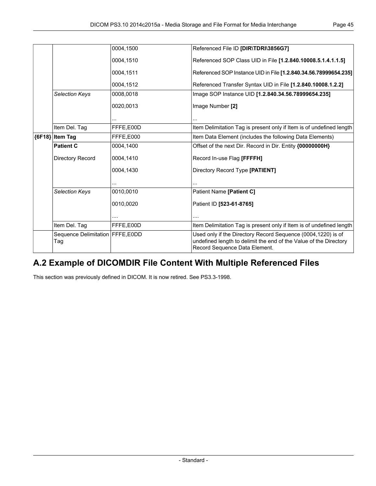|          |                                           | 0004,1500 | Referenced File ID [DIR\TDRI\3856G7]                                                                                                                               |
|----------|-------------------------------------------|-----------|--------------------------------------------------------------------------------------------------------------------------------------------------------------------|
|          |                                           | 0004,1510 | Referenced SOP Class UID in File [1.2.840.10008.5.1.4.1.1.5]                                                                                                       |
|          |                                           | 0004,1511 | Referenced SOP Instance UID in File [1.2.840.34.56.78999654.235]                                                                                                   |
|          |                                           | 0004,1512 | Referenced Transfer Syntax UID in File [1.2.840.10008.1.2.2]                                                                                                       |
|          | <b>Selection Keys</b>                     | 0008,0018 | Image SOP Instance UID [1.2.840.34.56.78999654.235]                                                                                                                |
|          |                                           | 0020,0013 | Image Number [2]                                                                                                                                                   |
|          |                                           |           |                                                                                                                                                                    |
|          | Item Del. Tag                             | FFFE.E00D | Item Delimitation Tag is present only if Item is of undefined length                                                                                               |
| ${6F18}$ | <b>Item Tag</b>                           | FFFE.E000 | Item Data Element (includes the following Data Elements)                                                                                                           |
|          | <b>Patient C</b>                          | 0004,1400 | Offset of the next Dir. Record in Dir. Entity {00000000H}                                                                                                          |
|          | Directory Record                          | 0004.1410 | Record In-use Flag [FFFFH]                                                                                                                                         |
|          |                                           | 0004.1430 | Directory Record Type [PATIENT]                                                                                                                                    |
|          |                                           |           |                                                                                                                                                                    |
|          | <b>Selection Keys</b>                     | 0010,0010 | Patient Name [Patient C]                                                                                                                                           |
|          |                                           | 0010,0020 | Patient ID [523-61-8765]                                                                                                                                           |
|          |                                           | .         | .                                                                                                                                                                  |
|          | Item Del. Tag                             | FFFE,E00D | Item Delimitation Tag is present only if Item is of undefined length                                                                                               |
|          | Sequence Delimitation   FFFE, E0DD<br>Tag |           | Used only if the Directory Record Sequence (0004,1220) is of<br>undefined length to delimit the end of the Value of the Directory<br>Record Sequence Data Element. |

## <span id="page-44-0"></span>**A.2 Example of DICOMDIR File Content With Multiple Referenced Files**

This section was previously defined in DICOM. It is now retired. See PS3.3-1998.